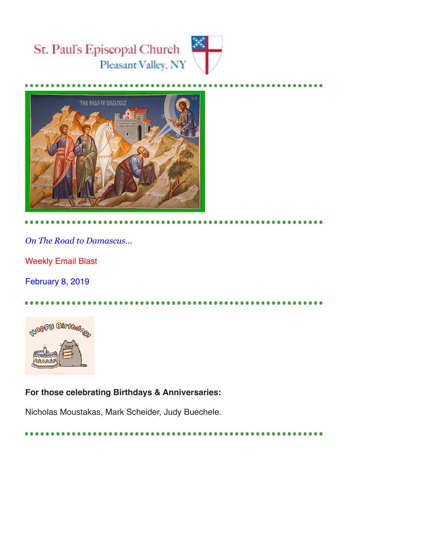



*On The Road to Damascus...* 

Weekly Email Blast

February 8, 2019



## **For those celebrating Birthdays & Anniversaries:**

Nicholas Moustakas, Mark Scheider, Judy Buechele.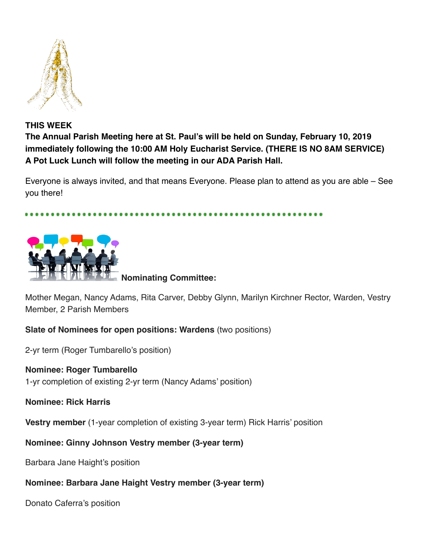

**THIS WEEK The Annual Parish Meeting here at St. Paul's will be held on Sunday, February 10, 2019 immediately following the 10:00 AM Holy Eucharist Service. (THERE IS NO 8AM SERVICE) A Pot Luck Lunch will follow the meeting in our ADA Parish Hall.** 

Everyone is always invited, and that means Everyone. Please plan to attend as you are able – See you there!





Mother Megan, Nancy Adams, Rita Carver, Debby Glynn, Marilyn Kirchner Rector, Warden, Vestry Member, 2 Parish Members

#### **Slate of Nominees for open positions: Wardens** (two positions)

2-yr term (Roger Tumbarello's position)

#### **Nominee: Roger Tumbarello**

1-yr completion of existing 2-yr term (Nancy Adams' position)

**Nominee: Rick Harris** 

**Vestry member** (1-year completion of existing 3-year term) Rick Harris' position

**Nominee: Ginny Johnson Vestry member (3-year term)** 

Barbara Jane Haight's position

**Nominee: Barbara Jane Haight Vestry member (3-year term)** 

Donato Caferra's position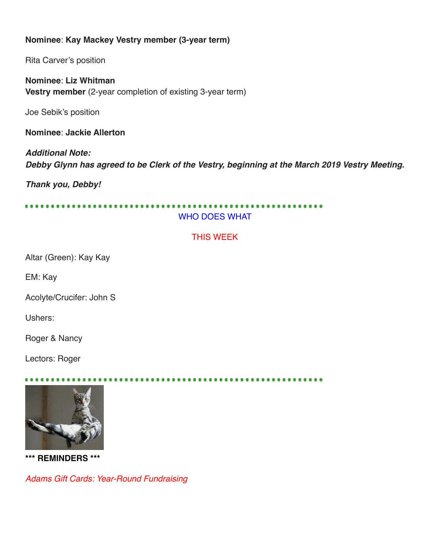# **Nominee**: **Kay Mackey Vestry member (3-year term)**

Rita Carver's position

**Nominee**: **Liz Whitman Vestry member** (2-year completion of existing 3-year term)

Joe Sebik's position

**Nominee**: **Jackie Allerton** 

*Additional Note: Debby Glynn has agreed to be Clerk of the Vestry, beginning at the March 2019 Vestry Meeting.* 

*Thank you, Debby!* 

. . . . . . . . . . . . ................. WHO DOES WHAT

# THIS WEEK

Altar (Green): Kay Kay

EM: Kay

Acolyte/Crucifer: John S

Ushers:

Roger & Nancy

Lectors: Roger

............



**\*\*\* REMINDERS \*\*\*** 

*Adams Gift Cards: Year-Round Fundraising*